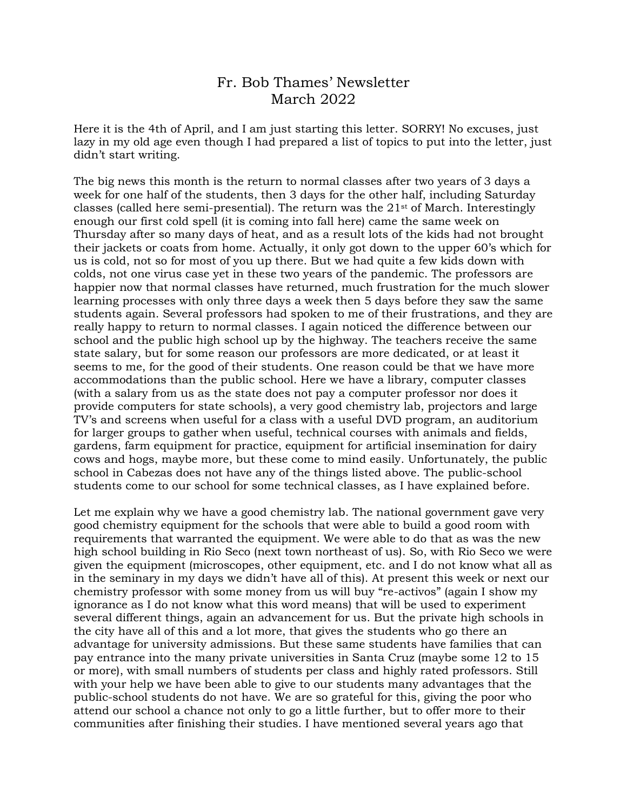## Fr. Bob Thames' Newsletter March 2022

Here it is the 4th of April, and I am just starting this letter. SORRY! No excuses, just lazy in my old age even though I had prepared a list of topics to put into the letter, just didn't start writing.

The big news this month is the return to normal classes after two years of 3 days a week for one half of the students, then 3 days for the other half, including Saturday classes (called here semi-presential). The return was the  $21<sup>st</sup>$  of March. Interestingly enough our first cold spell (it is coming into fall here) came the same week on Thursday after so many days of heat, and as a result lots of the kids had not brought their jackets or coats from home. Actually, it only got down to the upper 60's which for us is cold, not so for most of you up there. But we had quite a few kids down with colds, not one virus case yet in these two years of the pandemic. The professors are happier now that normal classes have returned, much frustration for the much slower learning processes with only three days a week then 5 days before they saw the same students again. Several professors had spoken to me of their frustrations, and they are really happy to return to normal classes. I again noticed the difference between our school and the public high school up by the highway. The teachers receive the same state salary, but for some reason our professors are more dedicated, or at least it seems to me, for the good of their students. One reason could be that we have more accommodations than the public school. Here we have a library, computer classes (with a salary from us as the state does not pay a computer professor nor does it provide computers for state schools), a very good chemistry lab, projectors and large TV's and screens when useful for a class with a useful DVD program, an auditorium for larger groups to gather when useful, technical courses with animals and fields, gardens, farm equipment for practice, equipment for artificial insemination for dairy cows and hogs, maybe more, but these come to mind easily. Unfortunately, the public school in Cabezas does not have any of the things listed above. The public-school students come to our school for some technical classes, as I have explained before.

Let me explain why we have a good chemistry lab. The national government gave very good chemistry equipment for the schools that were able to build a good room with requirements that warranted the equipment. We were able to do that as was the new high school building in Rio Seco (next town northeast of us). So, with Rio Seco we were given the equipment (microscopes, other equipment, etc. and I do not know what all as in the seminary in my days we didn't have all of this). At present this week or next our chemistry professor with some money from us will buy "re-activos" (again I show my ignorance as I do not know what this word means) that will be used to experiment several different things, again an advancement for us. But the private high schools in the city have all of this and a lot more, that gives the students who go there an advantage for university admissions. But these same students have families that can pay entrance into the many private universities in Santa Cruz (maybe some 12 to 15 or more), with small numbers of students per class and highly rated professors. Still with your help we have been able to give to our students many advantages that the public-school students do not have. We are so grateful for this, giving the poor who attend our school a chance not only to go a little further, but to offer more to their communities after finishing their studies. I have mentioned several years ago that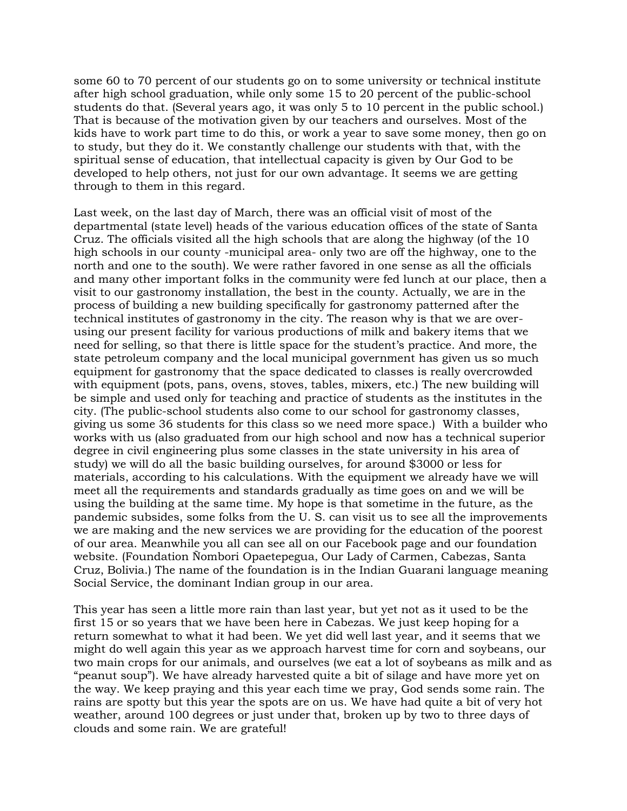some 60 to 70 percent of our students go on to some university or technical institute after high school graduation, while only some 15 to 20 percent of the public-school students do that. (Several years ago, it was only 5 to 10 percent in the public school.) That is because of the motivation given by our teachers and ourselves. Most of the kids have to work part time to do this, or work a year to save some money, then go on to study, but they do it. We constantly challenge our students with that, with the spiritual sense of education, that intellectual capacity is given by Our God to be developed to help others, not just for our own advantage. It seems we are getting through to them in this regard.

Last week, on the last day of March, there was an official visit of most of the departmental (state level) heads of the various education offices of the state of Santa Cruz. The officials visited all the high schools that are along the highway (of the 10 high schools in our county -municipal area- only two are off the highway, one to the north and one to the south). We were rather favored in one sense as all the officials and many other important folks in the community were fed lunch at our place, then a visit to our gastronomy installation, the best in the county. Actually, we are in the process of building a new building specifically for gastronomy patterned after the technical institutes of gastronomy in the city. The reason why is that we are overusing our present facility for various productions of milk and bakery items that we need for selling, so that there is little space for the student's practice. And more, the state petroleum company and the local municipal government has given us so much equipment for gastronomy that the space dedicated to classes is really overcrowded with equipment (pots, pans, ovens, stoves, tables, mixers, etc.) The new building will be simple and used only for teaching and practice of students as the institutes in the city. (The public-school students also come to our school for gastronomy classes, giving us some 36 students for this class so we need more space.) With a builder who works with us (also graduated from our high school and now has a technical superior degree in civil engineering plus some classes in the state university in his area of study) we will do all the basic building ourselves, for around \$3000 or less for materials, according to his calculations. With the equipment we already have we will meet all the requirements and standards gradually as time goes on and we will be using the building at the same time. My hope is that sometime in the future, as the pandemic subsides, some folks from the U. S. can visit us to see all the improvements we are making and the new services we are providing for the education of the poorest of our area. Meanwhile you all can see all on our Facebook page and our foundation website. (Foundation Ñombori Opaetepegua, Our Lady of Carmen, Cabezas, Santa Cruz, Bolivia.) The name of the foundation is in the Indian Guarani language meaning Social Service, the dominant Indian group in our area.

This year has seen a little more rain than last year, but yet not as it used to be the first 15 or so years that we have been here in Cabezas. We just keep hoping for a return somewhat to what it had been. We yet did well last year, and it seems that we might do well again this year as we approach harvest time for corn and soybeans, our two main crops for our animals, and ourselves (we eat a lot of soybeans as milk and as "peanut soup"). We have already harvested quite a bit of silage and have more yet on the way. We keep praying and this year each time we pray, God sends some rain. The rains are spotty but this year the spots are on us. We have had quite a bit of very hot weather, around 100 degrees or just under that, broken up by two to three days of clouds and some rain. We are grateful!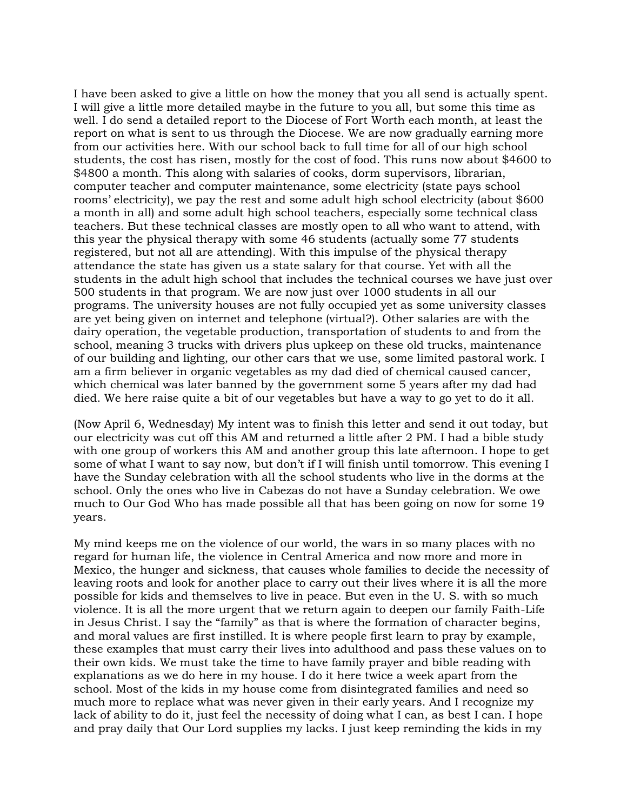I have been asked to give a little on how the money that you all send is actually spent. I will give a little more detailed maybe in the future to you all, but some this time as well. I do send a detailed report to the Diocese of Fort Worth each month, at least the report on what is sent to us through the Diocese. We are now gradually earning more from our activities here. With our school back to full time for all of our high school students, the cost has risen, mostly for the cost of food. This runs now about \$4600 to \$4800 a month. This along with salaries of cooks, dorm supervisors, librarian, computer teacher and computer maintenance, some electricity (state pays school rooms' electricity), we pay the rest and some adult high school electricity (about \$600 a month in all) and some adult high school teachers, especially some technical class teachers. But these technical classes are mostly open to all who want to attend, with this year the physical therapy with some 46 students (actually some 77 students registered, but not all are attending). With this impulse of the physical therapy attendance the state has given us a state salary for that course. Yet with all the students in the adult high school that includes the technical courses we have just over 500 students in that program. We are now just over 1000 students in all our programs. The university houses are not fully occupied yet as some university classes are yet being given on internet and telephone (virtual?). Other salaries are with the dairy operation, the vegetable production, transportation of students to and from the school, meaning 3 trucks with drivers plus upkeep on these old trucks, maintenance of our building and lighting, our other cars that we use, some limited pastoral work. I am a firm believer in organic vegetables as my dad died of chemical caused cancer, which chemical was later banned by the government some 5 years after my dad had died. We here raise quite a bit of our vegetables but have a way to go yet to do it all.

(Now April 6, Wednesday) My intent was to finish this letter and send it out today, but our electricity was cut off this AM and returned a little after 2 PM. I had a bible study with one group of workers this AM and another group this late afternoon. I hope to get some of what I want to say now, but don't if I will finish until tomorrow. This evening I have the Sunday celebration with all the school students who live in the dorms at the school. Only the ones who live in Cabezas do not have a Sunday celebration. We owe much to Our God Who has made possible all that has been going on now for some 19 years.

My mind keeps me on the violence of our world, the wars in so many places with no regard for human life, the violence in Central America and now more and more in Mexico, the hunger and sickness, that causes whole families to decide the necessity of leaving roots and look for another place to carry out their lives where it is all the more possible for kids and themselves to live in peace. But even in the U. S. with so much violence. It is all the more urgent that we return again to deepen our family Faith-Life in Jesus Christ. I say the "family" as that is where the formation of character begins, and moral values are first instilled. It is where people first learn to pray by example, these examples that must carry their lives into adulthood and pass these values on to their own kids. We must take the time to have family prayer and bible reading with explanations as we do here in my house. I do it here twice a week apart from the school. Most of the kids in my house come from disintegrated families and need so much more to replace what was never given in their early years. And I recognize my lack of ability to do it, just feel the necessity of doing what I can, as best I can. I hope and pray daily that Our Lord supplies my lacks. I just keep reminding the kids in my